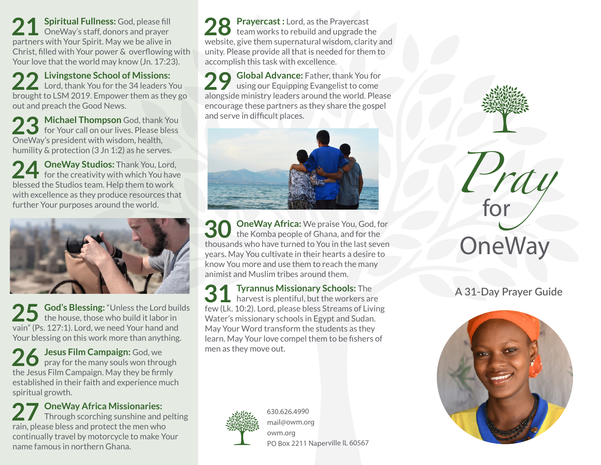**21 Spiritual Fullness:** God, please fill OneWay's staff, donors and prayer partners with Your Spirit. May we be alive in Christ, filled with Your power & overflowing with Your love that the world may know (Jn. 17:23).

**22 Livingstone School of Missions: Lord, thank You for the 34 leaders You** brought to LSM 2019. Empower them as they go out and preach the Good News.

23 Michael Thompson God, thank You<br>
for Your call on our lives. Please bless OneWay's president with wisdom, health, humility & protection (3 Jn 1:2) as he serves.

24 OneWay Studios: Thank You, Lord, for the creativity with which You have blessed the Studios team. Help them to work with excellence as they produce resources that further Your purposes around the world.



25 God's Blessing: "Unless the Lord builds<br>
the house, those who build it labor in vain" (Ps. 127:1). Lord, we need Your hand and Your blessing on this work more than anything.

**26 Jesus Film Campaign: God, we**  $\Box$  pray for the many souls won through the Jesus Film Campaign. May they be firmly established in their faith and experience much spiritual growth.

27 OneWay Africa Missionaries:<br>
Through scorching sunshine and pelting rain, please bless and protect the men who continually travel by motorcycle to make Your name famous in northern Ghana.

28 Prayercast : Lord, as the Prayercast<br>
team works to rebuild and upgrade the website, give them supernatural wisdom, clarity and unity. Please provide all that is needed for them to accomplish this task with excellence.

**29 Global Advance:** Father, thank You for using our Equipping Evangelist to come alongside ministry leaders around the world. Please encourage these partners as they share the gospel and serve in difficult places.



**OneWay Africa:** We praise You, God, for the Komba people of Ghana, and for the thousands who have turned to You in the last seven years. May You cultivate in their hearts a desire to know You more and use them to reach the many animist and Muslim tribes around them.

**31 Tyrannus Missionary Schools:** The harvest is plentiful, but the workers are few (Lk. 10:2). Lord, please bless Streams of Living Water's missionary schools in Egypt and Sudan. May Your Word transform the students as they learn. May Your love compel them to be fishers of men as they move out.



630.626.4990 mail@owm.org owm.org PO Box 2211 Naperville IL 60567 *Pray* **OneWay** for

**A 31-Day Prayer Guide**